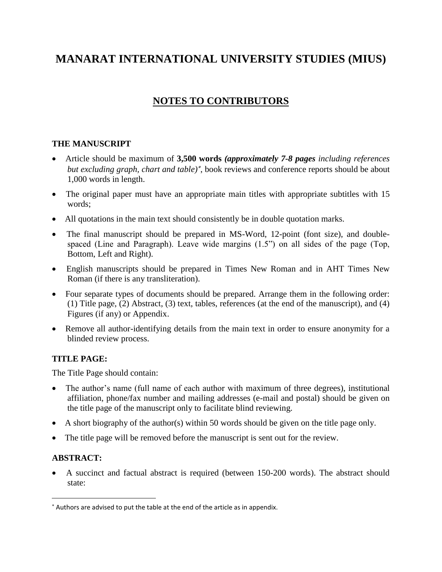# **MANARAT INTERNATIONAL UNIVERSITY STUDIES (MIUS)**

## **NOTES TO CONTRIBUTORS**

### **THE MANUSCRIPT**

- Article should be maximum of **3,500 words** *(approximately 7-8 pages including references but excluding graph, chart and table)* , book reviews and conference reports should be about 1,000 words in length.
- The original paper must have an appropriate main titles with appropriate subtitles with 15 words;
- All quotations in the main text should consistently be in double quotation marks.
- The final manuscript should be prepared in MS-Word, 12-point (font size), and doublespaced (Line and Paragraph). Leave wide margins (1.5") on all sides of the page (Top, Bottom, Left and Right).
- English manuscripts should be prepared in Times New Roman and in AHT Times New Roman (if there is any transliteration).
- Four separate types of documents should be prepared. Arrange them in the following order: (1) Title page, (2) Abstract, (3) text, tables, references (at the end of the manuscript), and (4) Figures (if any) or Appendix.
- Remove all author-identifying details from the main text in order to ensure anonymity for a blinded review process.

## **TITLE PAGE:**

The Title Page should contain:

- The author's name (full name of each author with maximum of three degrees), institutional affiliation, phone/fax number and mailing addresses (e-mail and postal) should be given on the title page of the manuscript only to facilitate blind reviewing.
- A short biography of the author(s) within 50 words should be given on the title page only.
- The title page will be removed before the manuscript is sent out for the review.

## **ABSTRACT:**

 $\overline{\phantom{a}}$ 

 A succinct and factual abstract is required (between 150-200 words). The abstract should state:

Authors are advised to put the table at the end of the article as in appendix.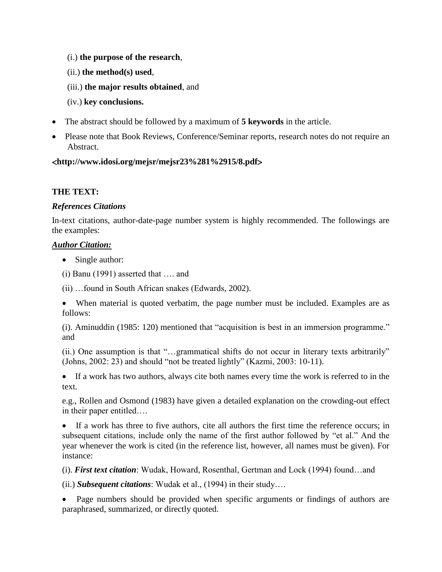- (i.) **the purpose of the research**,
- (ii.) **the method(s) used**,
- (iii.) **the major results obtained**, and
- (iv.) **key conclusions.**
- The abstract should be followed by a maximum of **5 keywords** in the article.
- Please note that Book Reviews, Conference/Seminar reports, research notes do not require an Abstract.

#### **http://www.idosi.org/mejsr/mejsr23%281%2915/8.pdf**

#### **THE TEXT:**

#### *References Citations*

In-text citations, author-date-page number system is highly recommended. The followings are the examples:

#### *Author Citation:*

- Single author:
- (i) Banu (1991) asserted that …. and

(ii) …found in South African snakes (Edwards, 2002).

 When material is quoted verbatim, the page number must be included. Examples are as follows:

(i). Aminuddin (1985: 120) mentioned that "acquisition is best in an immersion programme." and

(ii.) One assumption is that "…grammatical shifts do not occur in literary texts arbitrarily" (Johns, 2002: 23) and should "not be treated lightly" (Kazmi, 2003: 10-11).

 If a work has two authors, always cite both names every time the work is referred to in the text.

e.g., Rollen and Osmond (1983) have given a detailed explanation on the crowding-out effect in their paper entitled….

 If a work has three to five authors, cite all authors the first time the reference occurs; in subsequent citations, include only the name of the first author followed by "et al." And the year whenever the work is cited (in the reference list, however, all names must be given). For instance:

(i). *First text citation*: Wudak, Howard, Rosenthal, Gertman and Lock (1994) found…and

(ii.) *Subsequent citations*: Wudak et al., (1994) in their study….

 Page numbers should be provided when specific arguments or findings of authors are paraphrased, summarized, or directly quoted.